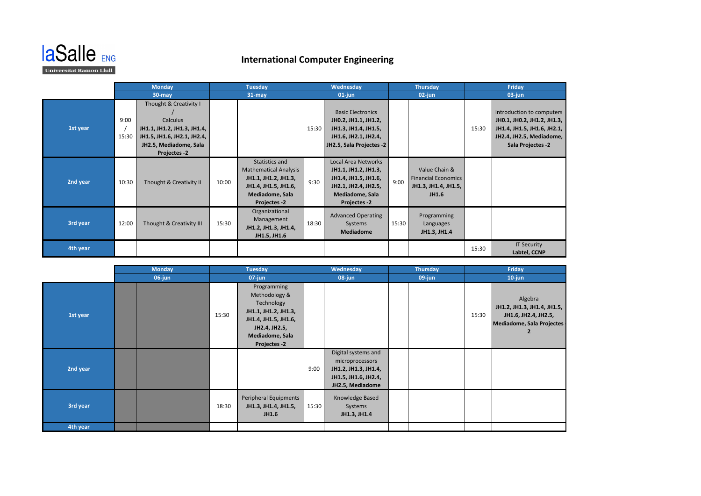

## **International Computer Engineering**

|          | <b>Monday</b> |                                                                                                                                                          | <b>Tuesday</b> |                                                                                                                                          | Wednesday |                                                                                                                                       | <b>Thursday</b> |                                                                              | Friday    |                                                                                                                                          |
|----------|---------------|----------------------------------------------------------------------------------------------------------------------------------------------------------|----------------|------------------------------------------------------------------------------------------------------------------------------------------|-----------|---------------------------------------------------------------------------------------------------------------------------------------|-----------------|------------------------------------------------------------------------------|-----------|------------------------------------------------------------------------------------------------------------------------------------------|
|          | $30 - may$    |                                                                                                                                                          | $31 -$ may     |                                                                                                                                          | $01$ -jun |                                                                                                                                       | $02$ -jun       |                                                                              | $03$ -jun |                                                                                                                                          |
| 1st year | 9:00<br>15:30 | Thought & Creativity I<br><b>Calculus</b><br>JH1.1, JH1.2, JH1.3, JH1.4,<br>JH1.5, JH1.6, JH2.1, JH2.4,<br>JH2.5, Mediadome, Sala<br><b>Projectes -2</b> |                |                                                                                                                                          | 15:30     | <b>Basic Electronics</b><br>JH0.2, JH1.1, JH1.2,<br>JH1.3, JH1.4, JH1.5,<br>JH1.6, JH2.1, JH2.4,<br>JH2.5, Sala Projectes -2          |                 |                                                                              | 15:30     | Introduction to computers<br>JH0.1, JH0.2, JH1.2, JH1.3,<br>JH1.4, JH1.5, JH1.6, JH2.1,<br>JH2.4, JH2.5, Mediadome,<br>Sala Projectes -2 |
| 2nd year | 10:30         | Thought & Creativity II                                                                                                                                  | 10:00          | Statistics and<br><b>Mathematical Analysis</b><br>JH1.1, JH1.2, JH1.3,<br>JH1.4, JH1.5, JH1.6,<br>Mediadome, Sala<br><b>Projectes -2</b> | 9:30      | <b>Local Area Networks</b><br>JH1.1, JH1.2, JH1.3,<br>JH1.4, JH1.5, JH1.6,<br>JH2.1, JH2.4, JH2.5,<br>Mediadome, Sala<br>Projectes -2 | 9:00            | Value Chain &<br><b>Financial Economics</b><br>JH1.3, JH1.4, JH1.5,<br>JH1.6 |           |                                                                                                                                          |
| 3rd year | 12:00         | Thought & Creativity III                                                                                                                                 | 15:30          | Organizational<br>Management<br>JH1.2, JH1.3, JH1.4,<br>JH1.5, JH1.6                                                                     | 18:30     | <b>Advanced Operating</b><br>Systems<br><b>Mediadome</b>                                                                              | 15:30           | Programming<br>Languages<br>JH1.3, JH1.4                                     |           |                                                                                                                                          |
| 4th year |               |                                                                                                                                                          |                |                                                                                                                                          |           |                                                                                                                                       |                 |                                                                              | 15:30     | <b>IT Security</b><br>Labtel, CCNP                                                                                                       |

|          | <b>Monday</b> | <b>Tuesday</b> |                                                                                                                                                | Wednesday |                                                                                                            | <b>Thursday</b> |  | Friday    |                                                                                                  |
|----------|---------------|----------------|------------------------------------------------------------------------------------------------------------------------------------------------|-----------|------------------------------------------------------------------------------------------------------------|-----------------|--|-----------|--------------------------------------------------------------------------------------------------|
|          | 06-jun        | 07-jun         |                                                                                                                                                | $08$ -jun |                                                                                                            | $09$ -jun       |  | $10$ -jun |                                                                                                  |
| 1st year |               | 15:30          | Programming<br>Methodology &<br>Technology<br>JH1.1, JH1.2, JH1.3,<br>JH1.4, JH1.5, JH1.6,<br>JH2.4, JH2.5,<br>Mediadome, Sala<br>Projectes -2 |           |                                                                                                            |                 |  | 15:30     | Algebra<br>JH1.2, JH1.3, JH1.4, JH1.5,<br>JH1.6, JH2.4, JH2.5,<br>Mediadome, Sala Projectes<br>2 |
| 2nd year |               |                |                                                                                                                                                | 9:00      | Digital systems and<br>microprocessors<br>JH1.2, JH1.3, JH1.4,<br>JH1.5, JH1.6, JH2.4,<br>JH2.5, Mediadome |                 |  |           |                                                                                                  |
| 3rd year |               | 18:30          | Peripheral Equipments<br>JH1.3, JH1.4, JH1.5,<br>JH1.6                                                                                         | 15:30     | Knowledge Based<br>Systems<br>JH1.3, JH1.4                                                                 |                 |  |           |                                                                                                  |
| 4th year |               |                |                                                                                                                                                |           |                                                                                                            |                 |  |           |                                                                                                  |